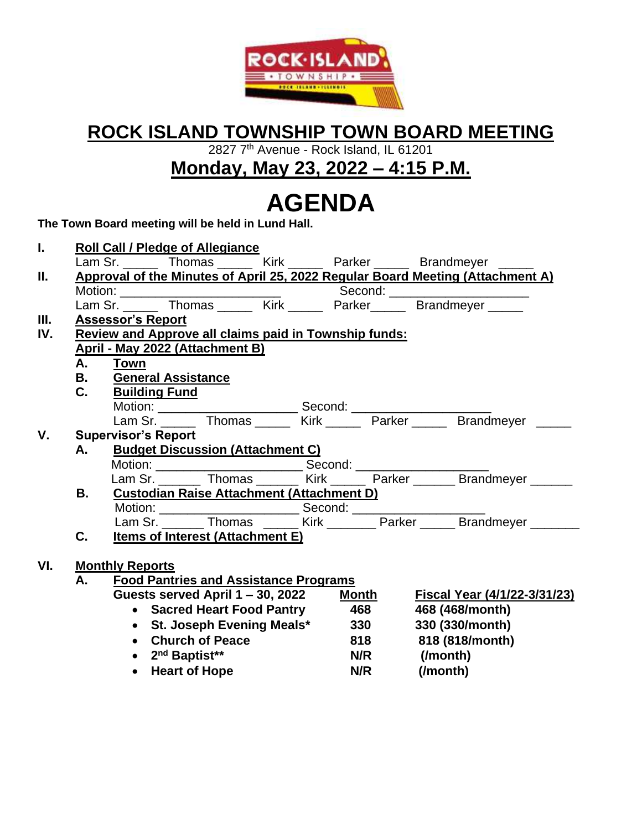

### **ROCK ISLAND TOWNSHIP TOWN BOARD MEETING**

2827 7th Avenue - Rock Island, IL 61201

**Monday, May 23, 2022 – 4:15 P.M.**

# **AGENDA**

**The Town Board meeting will be held in Lund Hall.**

| L.   |                                                              | <b>Roll Call / Pledge of Allegiance</b>                                                |  |                                              |     |              |          |                                                                                |  |  |
|------|--------------------------------------------------------------|----------------------------------------------------------------------------------------|--|----------------------------------------------|-----|--------------|----------|--------------------------------------------------------------------------------|--|--|
|      |                                                              |                                                                                        |  |                                              |     |              |          | Lam Sr. ______ Thomas ______ Kirk ______ Parker _____ Brandmeyer _____         |  |  |
| Ш.   |                                                              |                                                                                        |  |                                              |     |              |          | Approval of the Minutes of April 25, 2022 Regular Board Meeting (Attachment A) |  |  |
|      |                                                              |                                                                                        |  |                                              |     |              |          | Second: ______________________                                                 |  |  |
|      |                                                              |                                                                                        |  |                                              |     |              |          |                                                                                |  |  |
| III. |                                                              | <b>Assessor's Report</b>                                                               |  |                                              |     |              |          |                                                                                |  |  |
| IV.  | <b>Review and Approve all claims paid in Township funds:</b> |                                                                                        |  |                                              |     |              |          |                                                                                |  |  |
|      | April - May 2022 (Attachment B)                              |                                                                                        |  |                                              |     |              |          |                                                                                |  |  |
|      | A.                                                           | <b>Town</b>                                                                            |  |                                              |     |              |          |                                                                                |  |  |
|      | <b>B.</b> General Assistance                                 |                                                                                        |  |                                              |     |              |          |                                                                                |  |  |
|      | C.                                                           | <b>Building Fund</b>                                                                   |  |                                              |     |              |          |                                                                                |  |  |
|      |                                                              |                                                                                        |  |                                              |     |              |          |                                                                                |  |  |
|      |                                                              |                                                                                        |  |                                              |     |              |          | Lam Sr. ______ Thomas ______ Kirk ______ Parker ______ Brandmeyer ______       |  |  |
| V.   |                                                              | <b>Supervisor's Report</b>                                                             |  |                                              |     |              |          |                                                                                |  |  |
|      | <b>Budget Discussion (Attachment C)</b><br>A.                |                                                                                        |  |                                              |     |              |          |                                                                                |  |  |
|      |                                                              |                                                                                        |  |                                              |     |              |          |                                                                                |  |  |
|      |                                                              |                                                                                        |  |                                              |     |              |          | Lam Sr. _______ Thomas _______ Kirk ______ Parker ______ Brandmeyer ______     |  |  |
|      | В.                                                           | <b>Custodian Raise Attachment (Attachment D)</b>                                       |  |                                              |     |              |          |                                                                                |  |  |
|      |                                                              |                                                                                        |  |                                              |     |              |          |                                                                                |  |  |
|      |                                                              |                                                                                        |  |                                              |     |              |          |                                                                                |  |  |
|      | C.                                                           |                                                                                        |  | <b>Items of Interest (Attachment E)</b>      |     |              |          |                                                                                |  |  |
|      |                                                              |                                                                                        |  |                                              |     |              |          |                                                                                |  |  |
| VI.  |                                                              | <b>Monthly Reports</b>                                                                 |  |                                              |     |              |          |                                                                                |  |  |
|      | А.                                                           |                                                                                        |  | <b>Food Pantries and Assistance Programs</b> |     |              |          |                                                                                |  |  |
|      |                                                              |                                                                                        |  | Guests served April 1 – 30, 2022             |     | <b>Month</b> |          | Fiscal Year (4/1/22-3/31/23)                                                   |  |  |
|      |                                                              | • Sacred Heart Food Pantry 468<br>• St. Joseph Evening Meals* 330<br>• Church of Peace |  |                                              |     |              |          | 468 (468/month)                                                                |  |  |
|      |                                                              |                                                                                        |  |                                              |     |              |          | 330 (330/month)                                                                |  |  |
|      |                                                              |                                                                                        |  |                                              |     | 818          |          | 818 (818/month)                                                                |  |  |
|      | 2 <sup>nd</sup> Baptist**                                    |                                                                                        |  |                                              |     | <b>N/R</b>   |          | (/month)                                                                       |  |  |
|      | • Heart of Hope                                              |                                                                                        |  |                                              | N/R |              | (/month) |                                                                                |  |  |